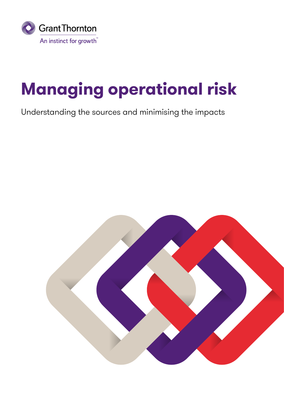

# **Managing operational risk**

Understanding the sources and minimising the impacts

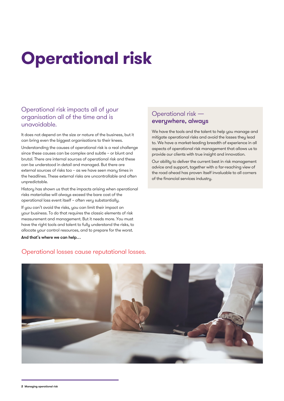# **Operational risk**

### Operational risk impacts all of your organisation all of the time and is unavoidable.

It does not depend on the size or nature of the business, but it can bring even the biggest organisations to their knees. Understanding the causes of operational risk is a real challenge since these causes can be complex and subtle – or blunt and brutal. There are internal sources of operational risk and these can be understood in detail and managed. But there are external sources of risks too – as we have seen many times in the headlines. These external risks are uncontrollable and often unpredictable.

History has shown us that the impacts arising when operational risks materialise will always exceed the bare cost of the operational loss event itself – often very substantially.

If you can't avoid the risks, you can limit their impact on your business. To do that requires the classic elements of risk measurement and management. But it needs more. You must have the right tools and talent to fully understand the risks, to allocate your control resources, and to prepare for the worst.

And that's where we can help…

### Operational risk everywhere, always

We have the tools and the talent to help you manage and mitigate operational risks and avoid the losses they lead to. We have a market-leading breadth of experience in all aspects of operational risk management that allows us to provide our clients with true insight and innovation.

Our ability to deliver the current best in risk management advice and support, together with a far-reaching view of the road ahead has proven itself invaluable to all corners of the financial services industry.

### Operational losses cause reputational losses.



**2** Managing operational risk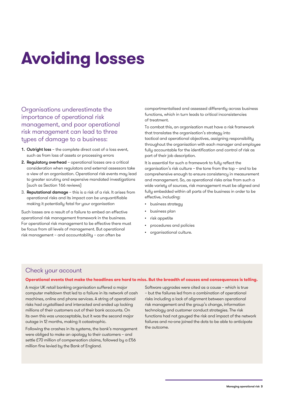# **Avoiding losses**

Organisations underestimate the importance of operational risk management, and poor operational risk management can lead to three types of damage to a business:

- 1. Outright loss the complete direct cost of a loss event, such as from loss of assets or processing errors
- 2. Regulatory overhead operational losses are a critical consideration when regulators and external assessors take a view of an organisation. Operational risk events may lead to greater scrutiny and expensive mandated investigations (such as Section 166 reviews)
- 3. Reputational damage this is a risk of a risk. It arises from operational risks and its impact can be unquantifiable making it potentially fatal for your organisation

Such losses are a result of a failure to embed an effective operational risk management framework in the business. For operational risk management to be effective there must be focus from all levels of management. But operational risk management – and accountability – can often be

compartmentalised and assessed differently across business functions, which in turn leads to critical inconsistencies of treatment.

To combat this, an organisation must have a risk framework that translates the organisation's strategy into tactical and operational objectives, assigning responsibility throughout the organisation with each manager and employee fully accountable for the identification and control of risk as part of their job description.

It is essential for such a framework to fully reflect the organisation's risk culture – the tone from the top – and to be comprehensive enough to ensure consistency in measurement and management. So, as operational risks arise from such a wide variety of sources, risk management must be aligned and fully embedded within all parts of the business in order to be effective, including:

- business strategy
- business plan
- risk appetite
- procedures and policies
- organisational culture.

### Check your account

#### **Operational events that make the headlines are hard to miss. But the breadth of causes and consequences is telling.**

A major UK retail banking organisation suffered a major computer meltdown that led to a failure in its network of cash machines, online and phone services. A string of operational risks had crystallised and interacted and ended up locking millions of their customers out of their bank accounts. On its own this was unacceptable, but it was the second major outage in 12 months, making it catastrophic.

Following the crashes in its systems, the bank's management were obliged to make an apology to their customers – and settle £70 million of compensation claims, followed by a £56 million fine levied by the Bank of England.

Software upgrades were cited as a cause – which is true – but the failures led from a combination of operational risks including a lack of alignment between operational risk management and the group's change, information technology and customer conduct strategies. The risk functions had not gauged the risk and impact of the network failures and no-one joined the dots to be able to anticipate the outcome.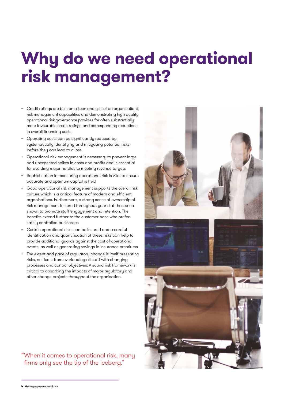### **Why do we need operational risk management?**

- Credit ratings are built on a keen analysis of an organisation's risk management capabilities and demonstrating high quality operational risk governance provides for often substantially more favourable credit ratings and corresponding reductions in overall financing costs
- Operating costs can be significantly reduced by systematically identifying and mitigating potential risks before they can lead to a loss
- Operational risk management is necessary to prevent large and unexpected spikes in costs and profits and is essential for avoiding major hurdles to meeting revenue targets
- Sophistication in measuring operational risk is vital to ensure accurate and optimum capital is held
- Good operational risk management supports the overall risk culture which is a critical feature of modern and efficient organisations. Furthermore, a strong sense of ownership of risk management fostered throughout your staff has been shown to promote staff engagement and retention. The benefits extend further to the customer base who prefer safely controlled businesses
- Certain operational risks can be insured and a careful identification and quantification of these risks can help to provide additional guards against the cost of operational events, as well as generating savings in insurance premiums
- The extent and pace of regulatory change is itself presenting risks, not least from overloading all staff with changing processes and control objectives. A sound risk framework is critical to absorbing the impacts of major regulatory and other change projects throughout the organisation.

### "When it comes to operational risk, many firms only see the tip of the iceberg."



**4** Managing operational risk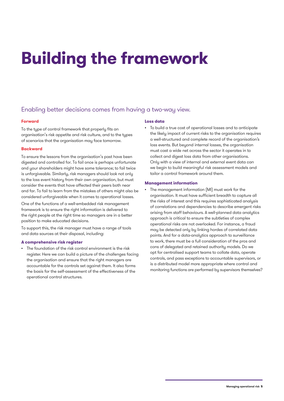# **Building the framework**

### Enabling better decisions comes from having a two-way view.

### **Forward**

To the type of control framework that properly fits an organisation's risk appetite and risk culture, and to the types of scenarios that the organisation may face tomorrow.

#### **Backward**

To ensure the lessons from the organisation's past have been digested and controlled for. To fail once is perhaps unfortunate and your shareholders might have some tolerance; to fail twice is unforgiveable. Similarly, risk managers should look not only to the loss event history from their own organisation, but must consider the events that have affected their peers both near and far. To fail to learn from the mistakes of others might also be considered unforgiveable when it comes to operational losses.

One of the functions of a well-embedded risk management framework is to ensure the right information is delivered to the right people at the right time so managers are in a better position to make educated decisions.

To support this, the risk manager must have a range of tools and data sources at their disposal, including:

### **A comprehensive risk register**

The foundation of the risk control environment is the risk register. Here we can build a picture of the challenges facing the organisation and ensure that the right managers are accountable for the controls set against them. It also forms the basis for the self-assessment of the effectiveness of the operational control structures.

#### **Loss data**

• To build a true cost of operational losses and to anticipate the likely impact of current risks to the organisation requires a well-structured and complete record of the organisation's loss events. But beyond internal losses, the organisation must cast a wide net across the sector it operates in to collect and digest loss data from other organisations. Only with a view of internal and external event data can we begin to build meaningful risk assessment models and tailor a control framework around them.

### **Management information**

The management information (MI) must work for the organisation. It must have sufficient breadth to capture all the risks of interest and this requires sophisticated analysis of correlations and dependencies to describe emergent risks arising from staff behaviours. A well-planned data analytics approach is critical to ensure the subtleties of complex operational risks are not overlooked. For instance, a fraud may be detected only by linking hordes of correlated data points. And for a data-analytics approach to surveillance to work, there must be a full consideration of the pros and cons of delegated and retained authority models. Do we opt for centralised support teams to collate data, operate controls, and pass exceptions to accountable supervisors, or is a distributed model more appropriate where control and monitoring functions are performed by supervisors themselves?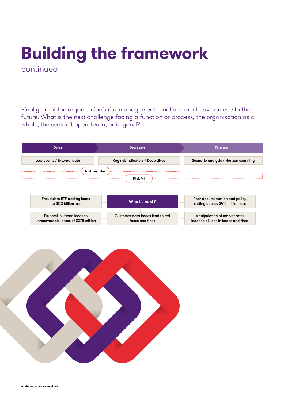### **Building the framework**  continued

Finally, all of the organisation's risk management functions must have an eye to the future. What is the next challenge facing a function or process, the organisation as a whole, the sector it operates in, or beyond?



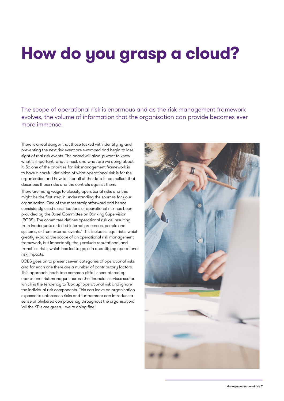# **How do you grasp a cloud?**

The scope of operational risk is enormous and as the risk management framework evolves, the volume of information that the organisation can provide becomes ever more immense.

There is a real danger that those tasked with identifuing and preventing the next risk event are swamped and begin to lose sight of real risk events. The board will always want to know what is important, what is next, and what are we doing about it. So one of the priorities for risk management framework is to have a careful definition of what operational risk is for the organisation and how to filter all of the data it can collect that describes those risks and the controls against them.

There are many ways to classify operational risks and this might be the first step in understanding the sources for your organisation. One of the most straightforward and hence consistently used classifications of operational risk has been provided by the Basel Committee on Banking Supervision (BCBS). The committee defines operational risk as 'resulting from inadequate or failed internal processes, people and systems, or from external events.' This includes legal risks, which greatly expand the scope of an operational risk management framework, but importantly they exclude reputational and franchise risks, which has led to gaps in quantifying operational risk impacts.

BCBS goes on to present seven categories of operational risks and for each one there are a number of contributory factors. This approach leads to a common pitfall encountered by operational risk managers across the financial services sector which is the tendency to 'box up' operational risk and ignore the individual risk components. This can leave an organisation exposed to unforeseen risks and furthermore can introduce a sense of blinkered complacency throughout the organisation: 'all the KPIs are green – we're doing fine!'

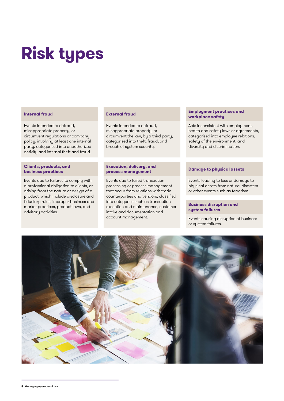# **Risk types**

### **Internal fraud**

Events intended to defraud, misappropriate property, or circumvent regulations or company policy, involving at least one internal party, categorised into unauthorized activity and internal theft and fraud.

### **Clients, products, and business practices**

Events due to failures to comply with a professional obligation to clients, or arising from the nature or design of a product, which include disclosure and fiduciary rules, improper business and market practices, product laws, and advisory activities.

### **External fraud**

Events intended to defraud, misappropriate property, or circumvent the law, by a third party, categorised into theft, fraud, and breach of system security.

#### **Execution, delivery, and process management**

Events due to failed transaction processing or process management that occur from relations with trade counterparties and vendors, classified into categories such as transaction execution and maintenance, customer intake and documentation and account management.

#### **Employment practices and workplace safety**

Acts inconsistent with employment, health and safety laws or agreements, categorised into employee relations, safety of the environment, and diversity and discrimination.

### **Damage to physical assets**

Events leading to loss or damage to physical assets from natural disasters or other events such as terrorism.

### **Business disruption and system failures**

Events causing disruption of business or system failures.

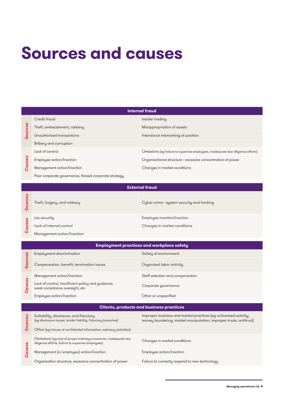## **Sources and causes**

| Internal fraud       |                                                      |                                                                                 |  |
|----------------------|------------------------------------------------------|---------------------------------------------------------------------------------|--|
| စိ<br>$\bullet$<br>ဖ | Credit fraud                                         | Insider trading                                                                 |  |
|                      | Theft, embezzlement, robbery                         | Misappropriation of assets                                                      |  |
|                      | Unauthorised transactions                            | Intentional mismarking of position                                              |  |
|                      | Bribery and corruption                               |                                                                                 |  |
| uses<br>ပ္ပိ         | Lack of control                                      | Omissions (eg failure to supervise employees, inadequate due diligence efforts) |  |
|                      | Employee action/inaction                             | Organisational structure - excessive concentration of power                     |  |
|                      | Management action/inaction                           | Changes in market conditions                                                    |  |
|                      | Poor corporate governance, flawed corporate strategy |                                                                                 |  |

| <b>External fraud</b> |                             |                                           |  |
|-----------------------|-----------------------------|-------------------------------------------|--|
|                       | Theft, forgery, and robbery | Cyber crime - system security and hacking |  |
| စိ<br>Π               | Lax security                | Employee inaction/inaction                |  |
|                       | Lack of internal control    | Changes in market conditions              |  |
|                       | Management action/inaction  |                                           |  |

| <b>Employment practices and workplace safety</b> |                                                                                      |                                  |  |
|--------------------------------------------------|--------------------------------------------------------------------------------------|----------------------------------|--|
| ლ<br>დ<br>n                                      | Employment discrimination                                                            | Safety of environment            |  |
|                                                  | Compensation, benefit, termination issues                                            | Organised labor activity         |  |
| uses<br>ō<br>ပ                                   | Management action/inaction                                                           | Staff selection and compensation |  |
|                                                  | Lack of control, insufficient policy and guidance,<br>weak compliance oversight, etc | Corporate governance             |  |
|                                                  | Employee action/inaction                                                             | Other or unspecified             |  |

| <b>Clients, products and business practices</b> |                                                                                                                        |                                                                                                                                      |  |  |
|-------------------------------------------------|------------------------------------------------------------------------------------------------------------------------|--------------------------------------------------------------------------------------------------------------------------------------|--|--|
| Ō                                               | Suitability, disclosure, and fiduciary<br>(eg disclosure issues, lender liability, fiduciary breaches)                 | Improper business and market practices (eg unlicensed activity,<br>money laundering, market manipulation, improper trade, antitrust) |  |  |
|                                                 | Other (eg misuse of confidential information, advisory activities)                                                     |                                                                                                                                      |  |  |
| es<br>aus<br>$\mathbf o$                        | Omissions (eg lack of proper training procedures, inadequate due<br>diligence efforts, failure to supervise employees) | Changes in market conditions                                                                                                         |  |  |
|                                                 | Management (or employee) action/inaction                                                                               | Employee action/inaction                                                                                                             |  |  |
|                                                 | Organisation structure, excessive concentration of power                                                               | Failure to correctly respond to new technology                                                                                       |  |  |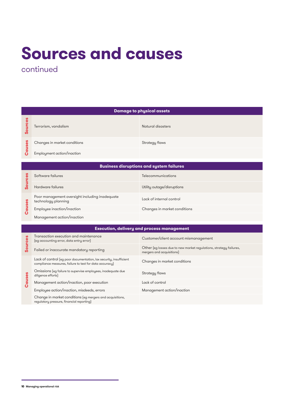# **Sources and causes**

continued

| <b>Damage to physical assets</b>                  |                                                                                                                               |                                                                                                 |  |
|---------------------------------------------------|-------------------------------------------------------------------------------------------------------------------------------|-------------------------------------------------------------------------------------------------|--|
| <b>Sources</b>                                    | Terrorism, vandalism                                                                                                          | Natural disasters                                                                               |  |
| Causes                                            | Changes in market conditions                                                                                                  | Strategy flaws                                                                                  |  |
|                                                   | Employment action/inaction                                                                                                    |                                                                                                 |  |
| <b>Business disruptions and system failures</b>   |                                                                                                                               |                                                                                                 |  |
| Sources                                           | Software failures                                                                                                             | Telecommunications                                                                              |  |
|                                                   | Hardware failures                                                                                                             | Utility outage/disruptions                                                                      |  |
|                                                   | Poor management oversight including inadequate<br>technology planning                                                         | Lack of internal control                                                                        |  |
| Causes                                            | Employee inaction/inaction                                                                                                    | Changes in market conditions                                                                    |  |
|                                                   | Management action/inaction                                                                                                    |                                                                                                 |  |
| <b>Execution, delivery and process management</b> |                                                                                                                               |                                                                                                 |  |
| <b>Sources</b>                                    | Transaction execution and maintenance<br>(eg accounting error, data entry error)                                              | Customer/client account mismanagement                                                           |  |
|                                                   | Failed or inaccurate mandatory reporting                                                                                      | Other (eg losses due to new market regulations, strategy failures,<br>mergers and acquisitions) |  |
| Causes                                            | Lack of control (eg poor documentation, lax security, insufficient<br>compliance measures, failure to test for data accuracy) | Changes in market conditions                                                                    |  |
|                                                   | Omissions (eg failure to supervise employees, inadequate due<br>diligence efforts)                                            | Strategy flaws                                                                                  |  |
|                                                   | Management action/inaction, poor execution                                                                                    | Lack of control                                                                                 |  |
|                                                   | Employee action/inaction, misdeeds, errors                                                                                    | Management action/inaction                                                                      |  |
|                                                   | Change in market conditions (eg mergers and acquisitions,<br>regulatory pressure, financial reporting)                        |                                                                                                 |  |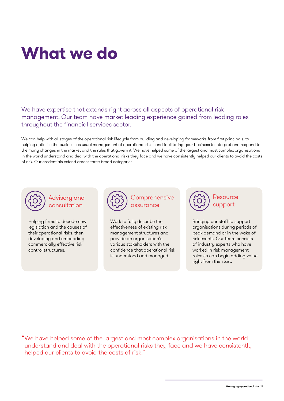# **What we do**

We have expertise that extends right across all aspects of operational risk management. Our team have market-leading experience gained from leading roles throughout the financial services sector.

We can help with all stages of the operational risk lifecycle from building and developing frameworks from first principals, to helping optimise the business as usual management of operational risks, and facilitating your business to interpret and respond to the many changes in the market and the rules that govern it. We have helped some of the largest and most complex organisations in the world understand and deal with the operational risks they face and we have consistently helped our clients to avoid the costs of risk. Our credentials extend across three broad categories:



### Advisory and consultation

Helping firms to decode new legislation and the causes of their operational risks, then developing and embedding commercially effective risk control structures.



Work to fully describe the effectiveness of existing risk management structures and provide an organisation's various stakeholders with the confidence that operational risk is understood and managed.



Bringing our staff to support organisations during periods of peak demand or in the wake of risk events. Our team consists of industry experts who have worked in risk management roles so can begin adding value right from the start.

"We have helped some of the largest and most complex organisations in the world understand and deal with the operational risks they face and we have consistently helped our clients to avoid the costs of risk."